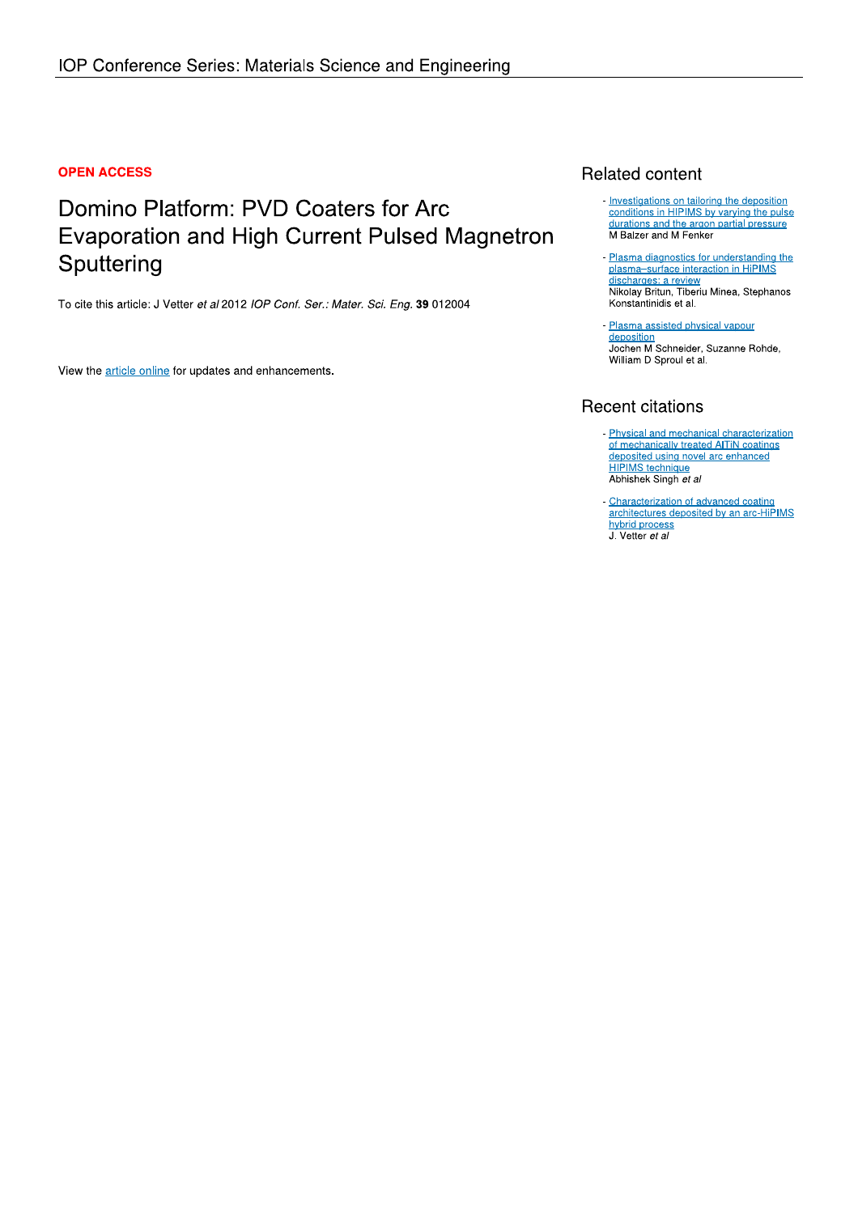## **OPEN ACCESS**

# Domino Platform: PVD Coaters for Arc **Evaporation and High Current Pulsed Magnetron** Sputtering

To cite this article: J Vetter et al 2012 IOP Conf. Ser.: Mater. Sci. Eng. 39 012004

View the article online for updates and enhancements.

# **Related content**

- Investigations on tailoring the deposition<br>conditions in HIPIMS by varying the pulse<br>durations and the argon partial pressure M Balzer and M Fenker
- Plasma diagnostics for understanding the plasma-surface interaction in HiPIMS discharges: a review Nikolay Britun, Tiberiu Minea, Stephanos Konstantinidis et al.
- Plasma assisted physical vapour deposition Jochen M Schneider, Suzanne Rohde, William D Sproul et al.

# **Recent citations**

- Physical and mechanical characterization of mechanically treated AITIN coatings deposited using novel arc enhanced HIPIMS technique<br>Abhishek Singh et al
- Characterization of advanced coating architectures deposited by an arc-HiPIMS hybrid process<br>J. Vetter et al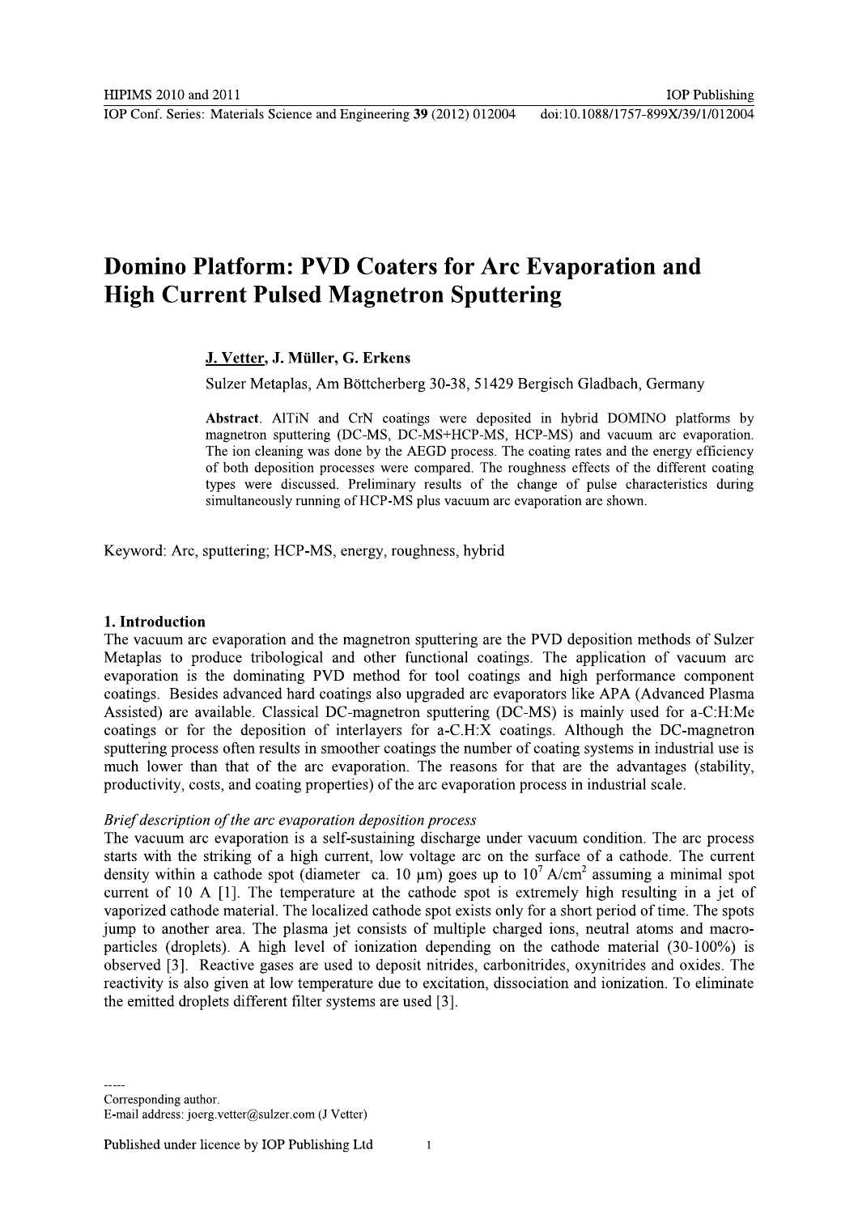# **Domino Platform: PVD Coaters for Arc Evaporation and High Current Pulsed Magnetron Sputtering**

#### J. Vetter, J. Müller, G. Erkens

Sulzer Metaplas, Am Böttcherberg 30-38, 51429 Bergisch Gladbach, Germany

Abstract. AlTiN and CrN coatings were deposited in hybrid DOMINO platforms by magnetron sputtering (DC-MS, DC-MS+HCP-MS, HCP-MS) and vacuum arc evaporation. The ion cleaning was done by the AEGD process. The coating rates and the energy efficiency of both deposition processes were compared. The roughness effects of the different coating types were discussed. Preliminary results of the change of pulse characteristics during simultaneously running of HCP-MS plus vacuum arc evaporation are shown.

Keyword: Arc, sputtering; HCP-MS, energy, roughness, hybrid

#### 1. Introduction

The vacuum arc evaporation and the magnetron sputtering are the PVD deposition methods of Sulzer Metaplas to produce tribological and other functional coatings. The application of vacuum arc evaporation is the dominating PVD method for tool coatings and high performance component coatings. Besides advanced hard coatings also upgraded arc evaporators like APA (Advanced Plasma Assisted) are available. Classical DC-magnetron sputtering (DC-MS) is mainly used for a-C:H:Me coatings or for the deposition of interlayers for a-C.H.X coatings. Although the DC-magnetron sputtering process often results in smoother coatings the number of coating systems in industrial use is much lower than that of the arc evaporation. The reasons for that are the advantages (stability, productivity, costs, and coating properties) of the arc evaporation process in industrial scale.

#### Brief description of the arc evaporation deposition process

The vacuum arc evaporation is a self-sustaining discharge under vacuum condition. The arc process starts with the striking of a high current, low voltage arc on the surface of a cathode. The current density within a cathode spot (diameter ca. 10  $\mu$ m) goes up to 10<sup>7</sup> A/cm<sup>2</sup> assuming a minimal spot current of 10 A [1]. The temperature at the cathode spot is extremely high resulting in a jet of vaporized cathode material. The localized cathode spot exists only for a short period of time. The spots jump to another area. The plasma jet consists of multiple charged ions, neutral atoms and macroparticles (droplets). A high level of ionization depending on the cathode material (30-100%) is observed [3]. Reactive gases are used to deposit nitrides, carbonitrides, oxynitrides and oxides. The reactivity is also given at low temperature due to excitation, dissociation and ionization. To eliminate the emitted droplets different filter systems are used [3].

Corresponding author.

E-mail address: joerg.vetter@sulzer.com (J Vetter)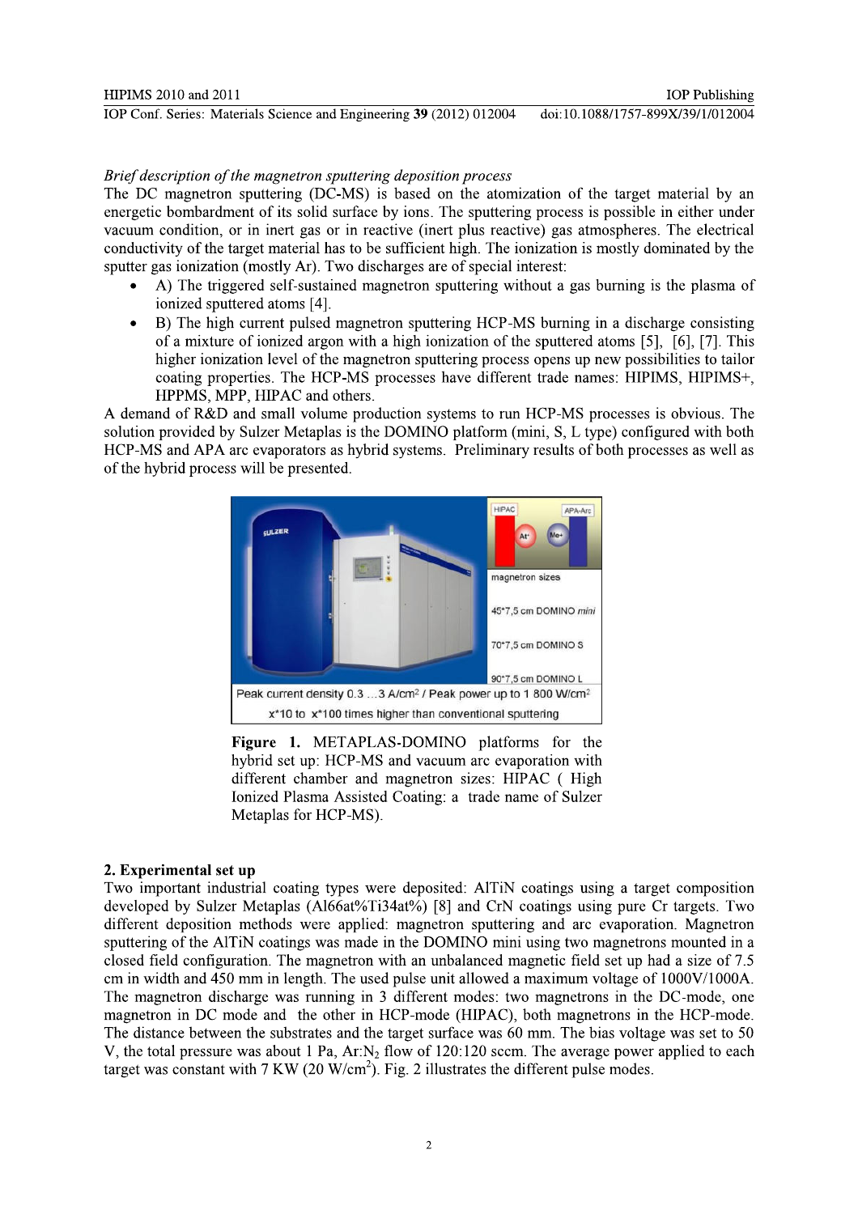#### Brief description of the magnetron sputtering deposition process

The DC magnetron sputtering (DC-MS) is based on the atomization of the target material by an energetic bombardment of its solid surface by ions. The sputtering process is possible in either under vacuum condition, or in inert gas or in reactive (inert plus reactive) gas atmospheres. The electrical conductivity of the target material has to be sufficient high. The ionization is mostly dominated by the sputter gas ionization (mostly Ar). Two discharges are of special interest:

- A) The triggered self-sustained magnetron sputtering without a gas burning is the plasma of ionized sputtered atoms [4].
- B) The high current pulsed magnetron sputtering HCP-MS burning in a discharge consisting of a mixture of ionized argon with a high ionization of the sputtered atoms [5], [6], [7]. This higher ionization level of the magnetron sputtering process opens up new possibilities to tailor coating properties. The HCP-MS processes have different trade names: HIPIMS, HIPIMS+, HPPMS, MPP, HIPAC and others.

A demand of R&D and small volume production systems to run HCP-MS processes is obvious. The solution provided by Sulzer Metaplas is the DOMINO platform (mini, S, L type) configured with both HCP-MS and APA arc evaporators as hybrid systems. Preliminary results of both processes as well as of the hybrid process will be presented.



Figure 1. METAPLAS-DOMINO platforms for the hybrid set up: HCP-MS and vacuum arc evaporation with different chamber and magnetron sizes: HIPAC (High Ionized Plasma Assisted Coating: a trade name of Sulzer Metaplas for HCP-MS).

#### 2. Experimental set up

Two important industrial coating types were deposited: AlTiN coatings using a target composition developed by Sulzer Metaplas (Al66at%Ti34at%) [8] and CrN coatings using pure Cr targets. Two different deposition methods were applied: magnetron sputtering and arc evaporation. Magnetron sputtering of the AlTiN coatings was made in the DOMINO mini using two magnetrons mounted in a closed field configuration. The magnetron with an unbalanced magnetic field set up had a size of 7.5 cm in width and 450 mm in length. The used pulse unit allowed a maximum voltage of 1000V/1000A. The magnetron discharge was running in 3 different modes: two magnetrons in the DC-mode, one magnetron in DC mode and the other in HCP-mode (HIPAC), both magnetrons in the HCP-mode. The distance between the substrates and the target surface was 60 mm. The bias voltage was set to 50 V, the total pressure was about 1 Pa, Ar:N<sub>2</sub> flow of 120:120 sccm. The average power applied to each target was constant with  $7 \,\mathrm{KW}$  (20 W/cm<sup>2</sup>). Fig. 2 illustrates the different pulse modes.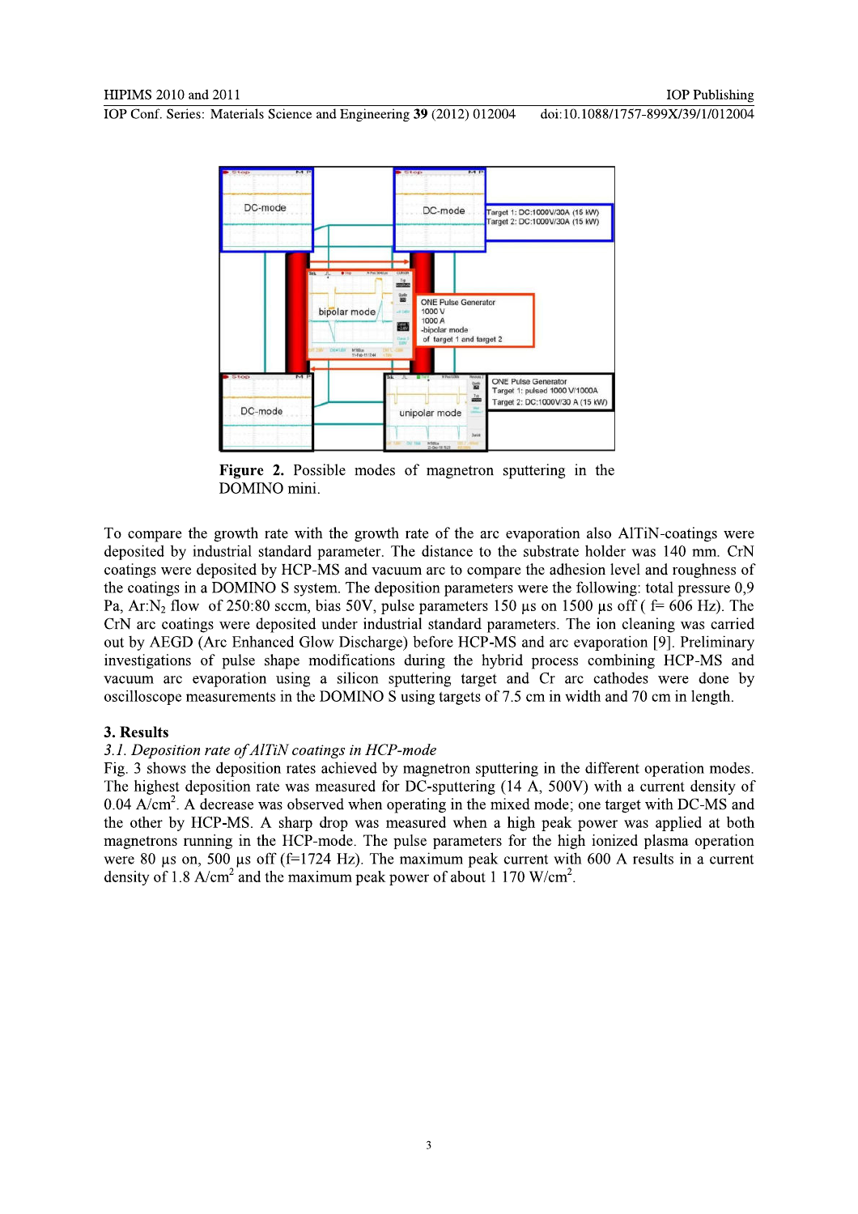

Figure 2. Possible modes of magnetron sputtering in the DOMINO mini.

To compare the growth rate with the growth rate of the arc evaporation also AlTiN-coatings were deposited by industrial standard parameter. The distance to the substrate holder was 140 mm. CrN coatings were deposited by HCP-MS and vacuum arc to compare the adhesion level and roughness of the coatings in a DOMINO S system. The deposition parameters were the following: total pressure 0,9 Pa, Ar:N<sub>2</sub> flow of 250:80 sccm, bias 50V, pulse parameters 150 µs on 1500 µs off ( $f = 606$  Hz). The CrN arc coatings were deposited under industrial standard parameters. The ion cleaning was carried out by AEGD (Arc Enhanced Glow Discharge) before HCP-MS and arc evaporation [9]. Preliminary investigations of pulse shape modifications during the hybrid process combining HCP-MS and vacuum arc evaporation using a silicon sputtering target and Cr arc cathodes were done by oscilloscope measurements in the DOMINO S using targets of 7.5 cm in width and 70 cm in length.

#### 3. Results

#### 3.1. Deposition rate of AlTiN coatings in HCP-mode

Fig. 3 shows the deposition rates achieved by magnetron sputtering in the different operation modes. The highest deposition rate was measured for DC-sputtering (14 A, 500V) with a current density of  $0.04$  A/cm<sup>2</sup>. A decrease was observed when operating in the mixed mode; one target with DC-MS and the other by HCP-MS. A sharp drop was measured when a high peak power was applied at both magnetrons running in the HCP-mode. The pulse parameters for the high ionized plasma operation were 80  $\mu$ s on, 500  $\mu$ s off (f=1724 Hz). The maximum peak current with 600 A results in a current density of 1.8 A/cm<sup>2</sup> and the maximum peak power of about 1 170 W/cm<sup>2</sup>.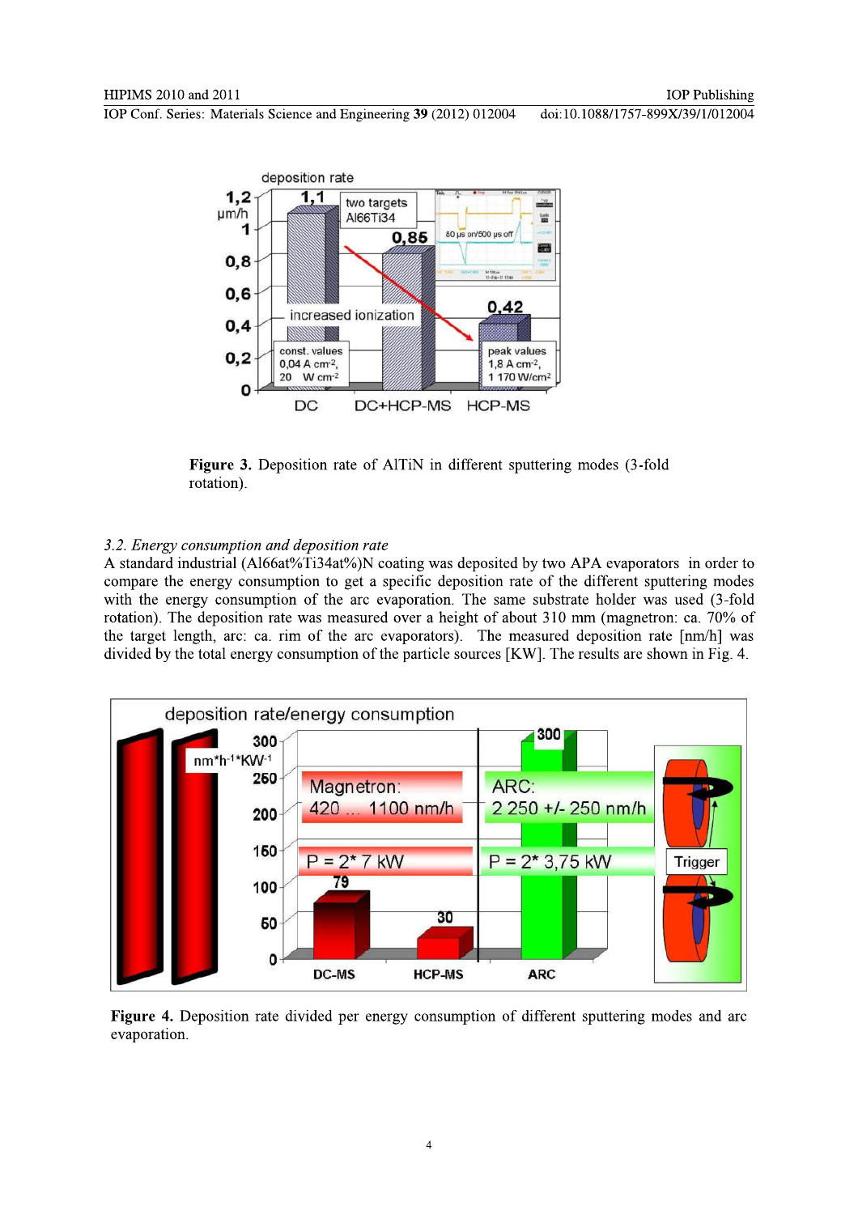doi:10.1088/1757-899X/39/1/012004

IOP Conf. Series: Materials Science and Engineering 39 (2012) 012004



Figure 3. Deposition rate of AlTiN in different sputtering modes (3-fold rotation).

#### 3.2. Energy consumption and deposition rate

A standard industrial (Al66at%Ti34at%)N coating was deposited by two APA evaporators in order to compare the energy consumption to get a specific deposition rate of the different sputtering modes with the energy consumption of the arc evaporation. The same substrate holder was used (3-fold rotation). The deposition rate was measured over a height of about 310 mm (magnetron: ca. 70% of the target length, arc: ca. rim of the arc evaporators). The measured deposition rate [nm/h] was divided by the total energy consumption of the particle sources [KW]. The results are shown in Fig. 4.



Figure 4. Deposition rate divided per energy consumption of different sputtering modes and arc evaporation.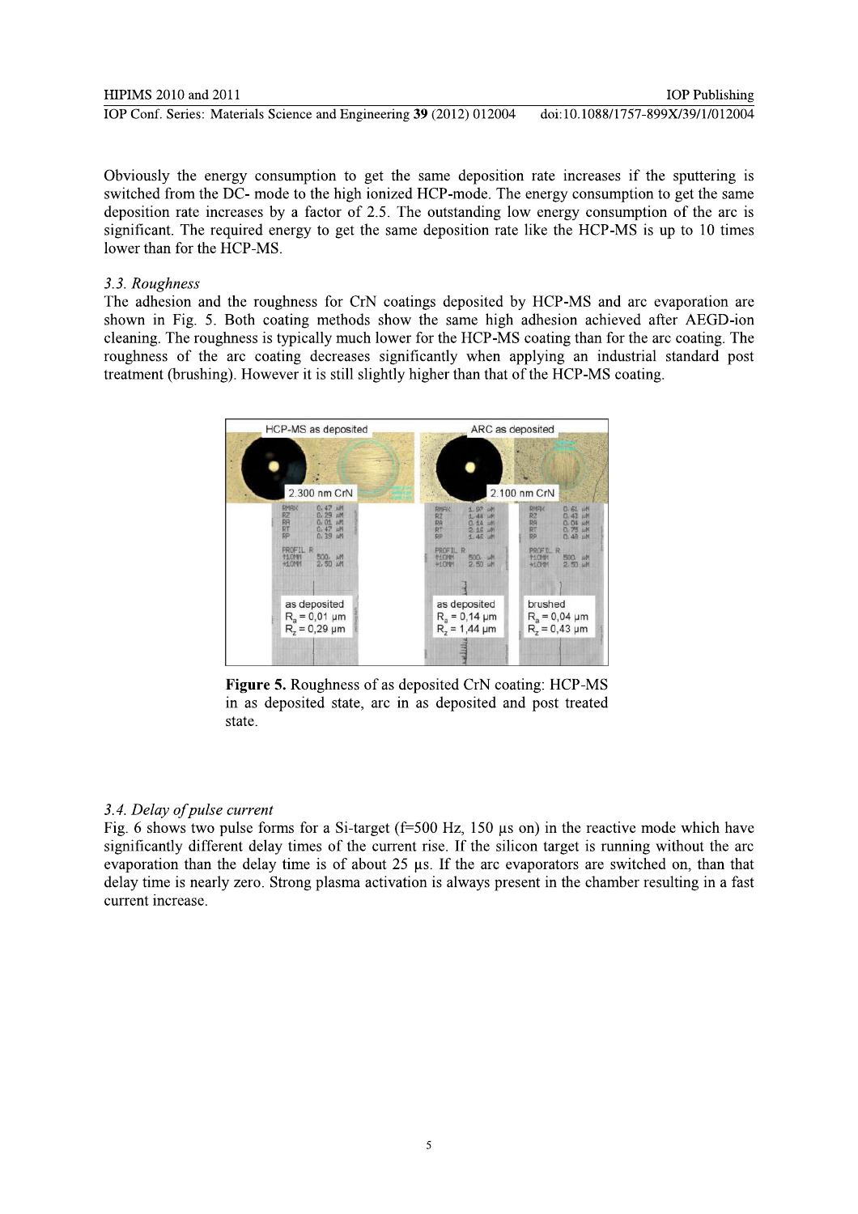#### HIPIMS 2010 and 2011

IOP Conf. Series: Materials Science and Engineering 39 (2012) 012004 doi:10.1088/1757-899X/39/1/012004

**IOP Publishing** 

Obviously the energy consumption to get the same deposition rate increases if the sputtering is switched from the DC- mode to the high ionized HCP-mode. The energy consumption to get the same deposition rate increases by a factor of 2.5. The outstanding low energy consumption of the arc is significant. The required energy to get the same deposition rate like the HCP-MS is up to 10 times lower than for the HCP-MS.

#### 3.3. Roughness

The adhesion and the roughness for CrN coatings deposited by HCP-MS and arc evaporation are shown in Fig. 5. Both coating methods show the same high adhesion achieved after AEGD-ion cleaning. The roughness is typically much lower for the HCP-MS coating than for the arc coating. The roughness of the arc coating decreases significantly when applying an industrial standard post treatment (brushing). However it is still slightly higher than that of the HCP-MS coating.



Figure 5. Roughness of as deposited CrN coating: HCP-MS in as deposited state, arc in as deposited and post treated state

#### 3.4. Delay of pulse current

Fig. 6 shows two pulse forms for a Si-target (f=500 Hz, 150  $\mu$ s on) in the reactive mode which have significantly different delay times of the current rise. If the silicon target is running without the arc evaporation than the delay time is of about  $25 \mu s$ . If the arc evaporators are switched on, than that delay time is nearly zero. Strong plasma activation is always present in the chamber resulting in a fast current increase.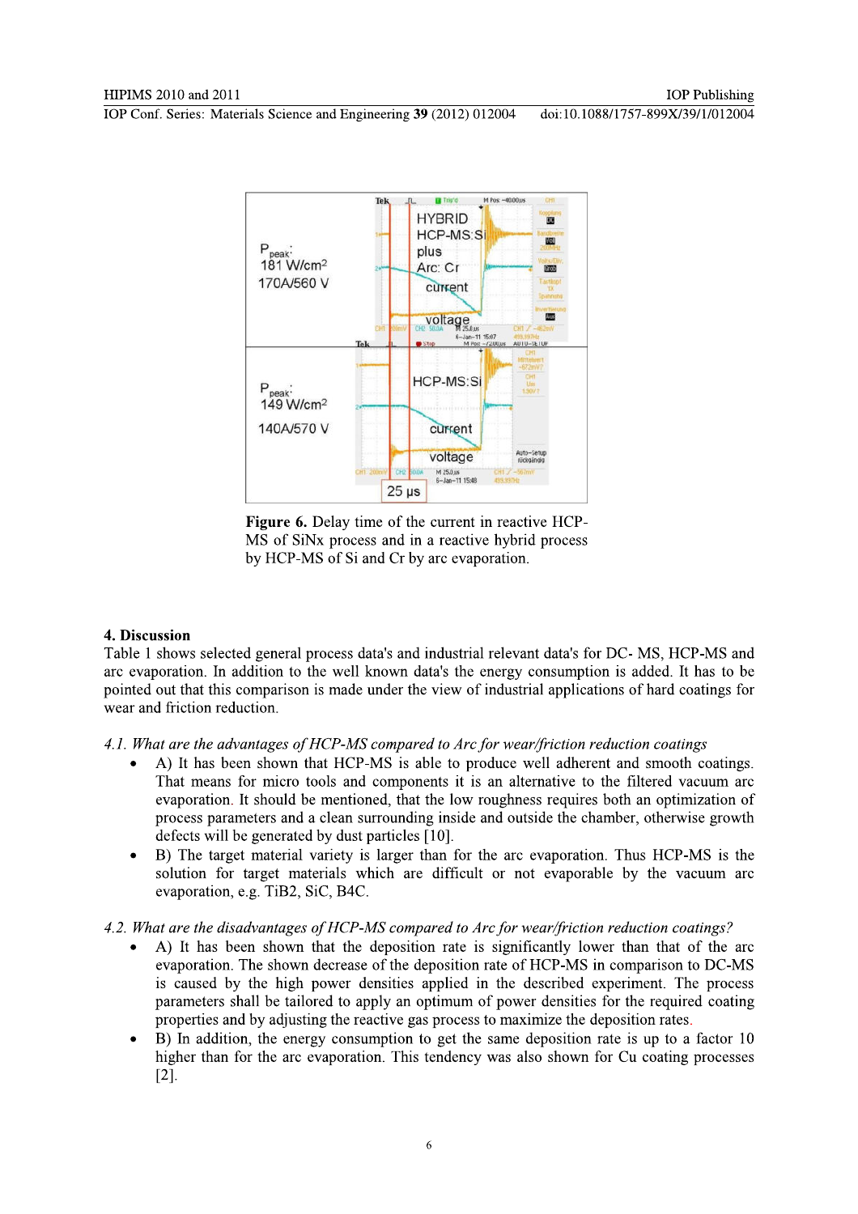

Figure 6. Delay time of the current in reactive HCP-MS of SiNx process and in a reactive hybrid process by HCP-MS of Si and Cr by arc evaporation.

#### 4. Discussion

Table 1 shows selected general process data's and industrial relevant data's for DC-MS, HCP-MS and arc evaporation. In addition to the well known data's the energy consumption is added. It has to be pointed out that this comparison is made under the view of industrial applications of hard coatings for wear and friction reduction.

#### 4.1. What are the advantages of HCP-MS compared to Arc for wear/friction reduction coatings

- A) It has been shown that HCP-MS is able to produce well adherent and smooth coatings. That means for micro tools and components it is an alternative to the filtered vacuum arc evaporation. It should be mentioned, that the low roughness requires both an optimization of process parameters and a clean surrounding inside and outside the chamber, otherwise growth defects will be generated by dust particles [10].
- B) The target material variety is larger than for the arc evaporation. Thus HCP-MS is the solution for target materials which are difficult or not evaporable by the vacuum arc evaporation, e.g. TiB2, SiC, B4C.

#### 4.2. What are the disadvantages of HCP-MS compared to Arc for wear/friction reduction coatings?

- A) It has been shown that the deposition rate is significantly lower than that of the arc evaporation. The shown decrease of the deposition rate of HCP-MS in comparison to DC-MS is caused by the high power densities applied in the described experiment. The process parameters shall be tailored to apply an optimum of power densities for the required coating properties and by adjusting the reactive gas process to maximize the deposition rates.
- B) In addition, the energy consumption to get the same deposition rate is up to a factor 10 higher than for the arc evaporation. This tendency was also shown for Cu coating processes  $[2]$ .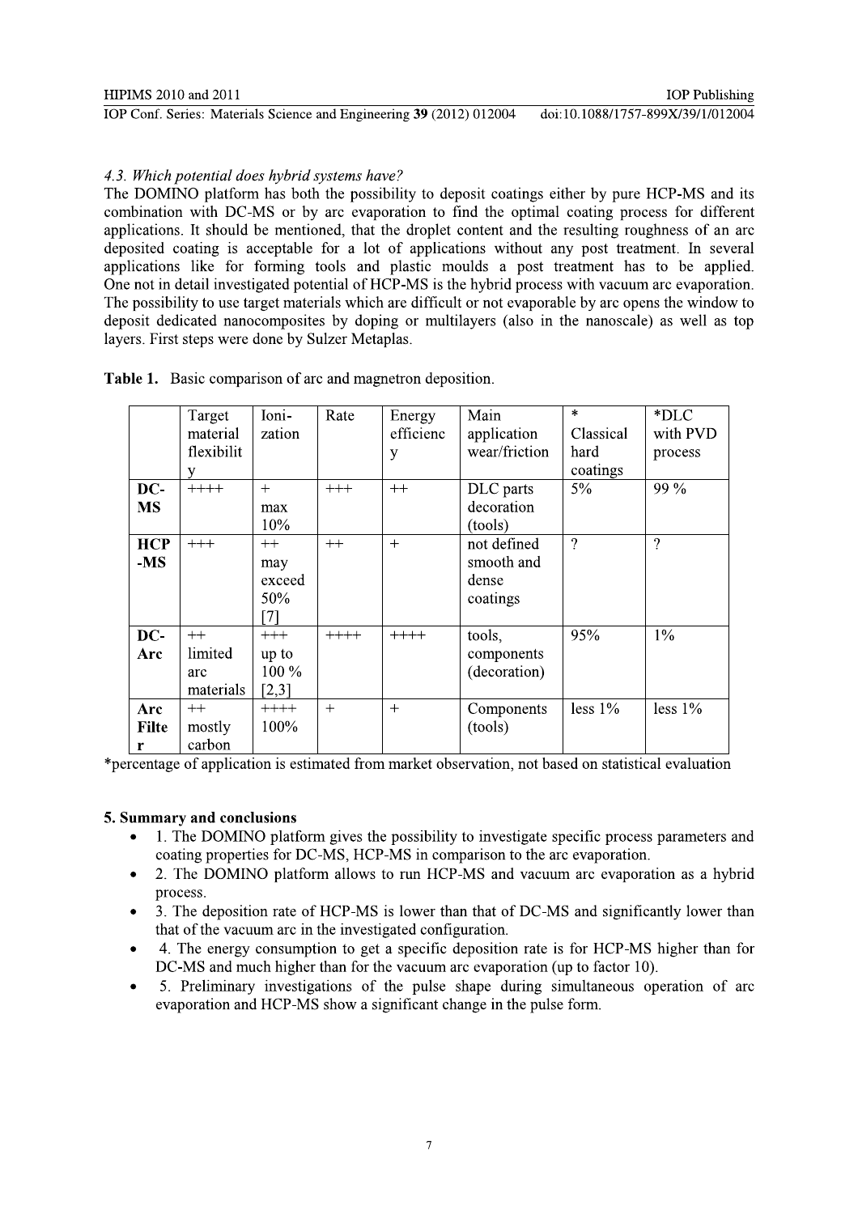## 4.3. Which potential does hybrid systems have?

The DOMINO platform has both the possibility to deposit coatings either by pure HCP-MS and its combination with DC-MS or by arc evaporation to find the optimal coating process for different applications. It should be mentioned, that the droplet content and the resulting roughness of an arc deposited coating is acceptable for a lot of applications without any post treatment. In several applications like for forming tools and plastic moulds a post treatment has to be applied. One not in detail investigated potential of HCP-MS is the hybrid process with vacuum arc evaporation. The possibility to use target materials which are difficult or not evaporable by arc opens the window to deposit dedicated nanocomposites by doping or multilayers (also in the nanoscale) as well as top layers. First steps were done by Sulzer Metaplas.

|  |  | Table 1. Basic comparison of arc and magnetron deposition. |  |  |  |  |
|--|--|------------------------------------------------------------|--|--|--|--|
|--|--|------------------------------------------------------------|--|--|--|--|

|              | Target     | Ioni-  | Rate   | Energy    | Main          | $\star$    | *DLC       |
|--------------|------------|--------|--------|-----------|---------------|------------|------------|
|              | material   | zation |        | efficienc | application   | Classical  | with PVD   |
|              | flexibilit |        |        | у         | wear/friction | hard       | process    |
|              | V          |        |        |           |               | coatings   |            |
| DC-          | $++++$     | $+$    | $+++$  | $++$      | DLC parts     | $5\%$      | 99 %       |
| <b>MS</b>    |            | max    |        |           | decoration    |            |            |
|              |            | 10%    |        |           | (tools)       |            |            |
| <b>HCP</b>   | $+++$      | $++$   | $++$   | $+$       | not defined   | $\gamma$   | $\gamma$   |
| $-MS$        |            | may    |        |           | smooth and    |            |            |
|              |            | exceed |        |           | dense         |            |            |
|              |            | 50%    |        |           | coatings      |            |            |
|              |            | 71     |        |           |               |            |            |
| DC-          | $++$       | $+++$  | $++++$ | $++++$    | tools,        | 95%        | $1\%$      |
| Arc          | limited    | up to  |        |           | components    |            |            |
|              | arc        | 100 %  |        |           | (decoration)  |            |            |
|              | materials  | [2,3]  |        |           |               |            |            |
| Arc          | $++$       | $++++$ | $+$    | $+$       | Components    | less $1\%$ | $less 1\%$ |
| <b>Filte</b> | mostly     | 100%   |        |           | (tools)       |            |            |
|              | carbon     |        |        |           |               |            |            |

\*percentage of application is estimated from market observation, not based on statistical evaluation

# 5. Summary and conclusions

- 1. The DOMINO platform gives the possibility to investigate specific process parameters and coating properties for DC-MS, HCP-MS in comparison to the arc evaporation.
- 2. The DOMINO platform allows to run HCP-MS and vacuum arc evaporation as a hybrid  $\bullet$ process.
- 3. The deposition rate of HCP-MS is lower than that of DC-MS and significantly lower than  $\bullet$ that of the vacuum arc in the investigated configuration.
- 4. The energy consumption to get a specific deposition rate is for HCP-MS higher than for DC-MS and much higher than for the vacuum arc evaporation (up to factor 10).
- 5. Preliminary investigations of the pulse shape during simultaneous operation of arc  $\bullet$ evaporation and HCP-MS show a significant change in the pulse form.